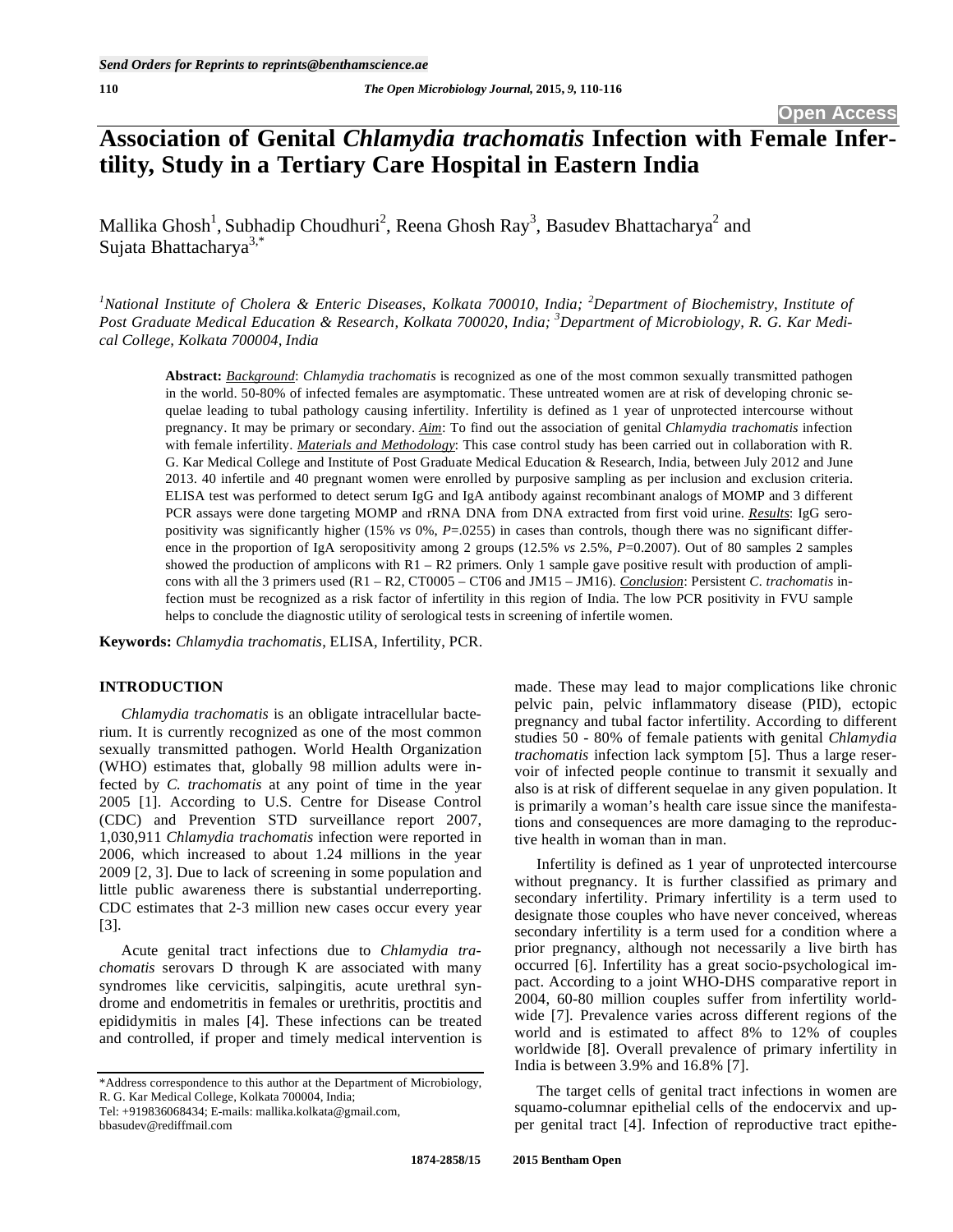# **Association of Genital** *Chlamydia trachomatis* **Infection with Female Infertility, Study in a Tertiary Care Hospital in Eastern India**

Mallika Ghosh<sup>1</sup>, Subhadip Choudhuri<sup>2</sup>, Reena Ghosh Ray<sup>3</sup>, Basudev Bhattacharya<sup>2</sup> and Sujata Bhattacharya<sup>3,\*</sup>

<sup>1</sup> National Institute of Cholera & Enteric Diseases, Kolkata 700010, India; <sup>2</sup>Department of Biochemistry, Institute of *Post Graduate Medical Education & Research, Kolkata 700020, India; <sup>3</sup> Department of Microbiology, R. G. Kar Medical College, Kolkata 700004, India* 

**Abstract:** *Background*: *Chlamydia trachomatis* is recognized as one of the most common sexually transmitted pathogen in the world. 50-80% of infected females are asymptomatic. These untreated women are at risk of developing chronic sequelae leading to tubal pathology causing infertility. Infertility is defined as 1 year of unprotected intercourse without pregnancy. It may be primary or secondary. *Aim*: To find out the association of genital *Chlamydia trachomatis* infection with female infertility. *Materials and Methodology*: This case control study has been carried out in collaboration with R. G. Kar Medical College and Institute of Post Graduate Medical Education & Research, India, between July 2012 and June 2013. 40 infertile and 40 pregnant women were enrolled by purposive sampling as per inclusion and exclusion criteria. ELISA test was performed to detect serum IgG and IgA antibody against recombinant analogs of MOMP and 3 different PCR assays were done targeting MOMP and rRNA DNA from DNA extracted from first void urine. *Results*: IgG seropositivity was significantly higher (15% *vs* 0%, *P*=.0255) in cases than controls, though there was no significant difference in the proportion of IgA seropositivity among 2 groups (12.5% *vs* 2.5%, *P*=0.2007). Out of 80 samples 2 samples showed the production of amplicons with  $R1 - R2$  primers. Only 1 sample gave positive result with production of amplicons with all the 3 primers used (R1 – R2, CT0005 – CT06 and JM15 – JM16). *Conclusion*: Persistent *C. trachomatis* infection must be recognized as a risk factor of infertility in this region of India. The low PCR positivity in FVU sample helps to conclude the diagnostic utility of serological tests in screening of infertile women.

**Keywords:** *Chlamydia trachomatis*, ELISA, Infertility, PCR.

# **INTRODUCTION**

*Chlamydia trachomatis* is an obligate intracellular bacterium. It is currently recognized as one of the most common sexually transmitted pathogen. World Health Organization (WHO) estimates that, globally 98 million adults were infected by *C. trachomatis* at any point of time in the year 2005 [1]. According to U.S. Centre for Disease Control (CDC) and Prevention STD surveillance report 2007, 1,030,911 *Chlamydia trachomatis* infection were reported in 2006, which increased to about 1.24 millions in the year 2009 [2, 3]. Due to lack of screening in some population and little public awareness there is substantial underreporting. CDC estimates that 2-3 million new cases occur every year [3].

Acute genital tract infections due to *Chlamydia trachomatis* serovars D through K are associated with many syndromes like cervicitis, salpingitis, acute urethral syndrome and endometritis in females or urethritis, proctitis and epididymitis in males [4]. These infections can be treated and controlled, if proper and timely medical intervention is made. These may lead to major complications like chronic pelvic pain, pelvic inflammatory disease (PID), ectopic pregnancy and tubal factor infertility. According to different studies 50 - 80% of female patients with genital *Chlamydia trachomatis* infection lack symptom [5]. Thus a large reservoir of infected people continue to transmit it sexually and also is at risk of different sequelae in any given population. It is primarily a woman's health care issue since the manifestations and consequences are more damaging to the reproductive health in woman than in man.

Infertility is defined as 1 year of unprotected intercourse without pregnancy. It is further classified as primary and secondary infertility. Primary infertility is a term used to designate those couples who have never conceived, whereas secondary infertility is a term used for a condition where a prior pregnancy, although not necessarily a live birth has occurred [6]. Infertility has a great socio-psychological impact. According to a joint WHO-DHS comparative report in 2004, 60-80 million couples suffer from infertility worldwide [7]. Prevalence varies across different regions of the world and is estimated to affect 8% to 12% of couples worldwide [8]. Overall prevalence of primary infertility in India is between 3.9% and 16.8% [7].

The target cells of genital tract infections in women are squamo-columnar epithelial cells of the endocervix and upper genital tract [4]. Infection of reproductive tract epithe-

<sup>\*</sup>Address correspondence to this author at the Department of Microbiology, R. G. Kar Medical College, Kolkata 700004, India;

Tel: +919836068434; E-mails: mallika.kolkata@gmail.com,

bbasudev@rediffmail.com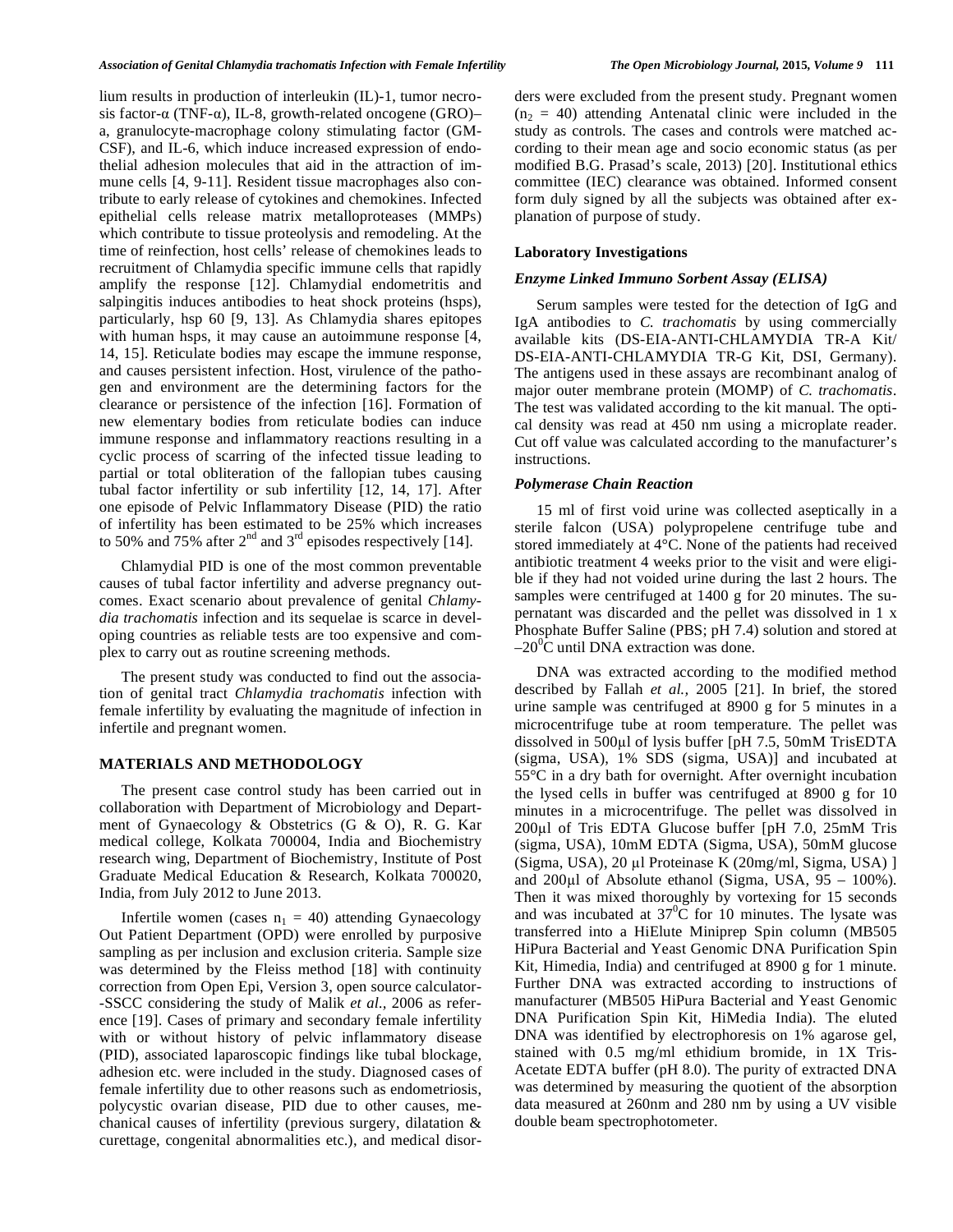lium results in production of interleukin (IL)-1, tumor necrosis factor- $\alpha$  (TNF- $\alpha$ ), IL-8, growth-related oncogene (GRO)– a, granulocyte-macrophage colony stimulating factor (GM-CSF), and IL-6, which induce increased expression of endothelial adhesion molecules that aid in the attraction of immune cells [4, 9-11]. Resident tissue macrophages also contribute to early release of cytokines and chemokines. Infected epithelial cells release matrix metalloproteases (MMPs) which contribute to tissue proteolysis and remodeling. At the time of reinfection, host cells' release of chemokines leads to recruitment of Chlamydia specific immune cells that rapidly amplify the response [12]. Chlamydial endometritis and salpingitis induces antibodies to heat shock proteins (hsps), particularly, hsp 60 [9, 13]. As Chlamydia shares epitopes with human hsps, it may cause an autoimmune response [4, 14, 15]. Reticulate bodies may escape the immune response, and causes persistent infection. Host, virulence of the pathogen and environment are the determining factors for the clearance or persistence of the infection [16]. Formation of new elementary bodies from reticulate bodies can induce immune response and inflammatory reactions resulting in a cyclic process of scarring of the infected tissue leading to partial or total obliteration of the fallopian tubes causing tubal factor infertility or sub infertility [12, 14, 17]. After one episode of Pelvic Inflammatory Disease (PID) the ratio of infertility has been estimated to be 25% which increases to 50% and 75% after  $2<sup>nd</sup>$  and  $3<sup>rd</sup>$  episodes respectively [14].

Chlamydial PID is one of the most common preventable causes of tubal factor infertility and adverse pregnancy outcomes. Exact scenario about prevalence of genital *Chlamydia trachomatis* infection and its sequelae is scarce in developing countries as reliable tests are too expensive and complex to carry out as routine screening methods.

The present study was conducted to find out the association of genital tract *Chlamydia trachomatis* infection with female infertility by evaluating the magnitude of infection in infertile and pregnant women.

# **MATERIALS AND METHODOLOGY**

The present case control study has been carried out in collaboration with Department of Microbiology and Department of Gynaecology & Obstetrics (G & O), R. G. Kar medical college, Kolkata 700004, India and Biochemistry research wing, Department of Biochemistry, Institute of Post Graduate Medical Education & Research, Kolkata 700020, India, from July 2012 to June 2013.

Infertile women (cases  $n_1 = 40$ ) attending Gynaecology Out Patient Department (OPD) were enrolled by purposive sampling as per inclusion and exclusion criteria. Sample size was determined by the Fleiss method [18] with continuity correction from Open Epi, Version 3, open source calculator- -SSCC considering the study of Malik *et al.,* 2006 as reference [19]. Cases of primary and secondary female infertility with or without history of pelvic inflammatory disease (PID), associated laparoscopic findings like tubal blockage, adhesion etc. were included in the study. Diagnosed cases of female infertility due to other reasons such as endometriosis, polycystic ovarian disease, PID due to other causes, mechanical causes of infertility (previous surgery, dilatation & curettage, congenital abnormalities etc.), and medical disorders were excluded from the present study. Pregnant women  $(n_2 = 40)$  attending Antenatal clinic were included in the study as controls. The cases and controls were matched according to their mean age and socio economic status (as per modified B.G. Prasad's scale, 2013) [20]. Institutional ethics committee (IEC) clearance was obtained. Informed consent form duly signed by all the subjects was obtained after explanation of purpose of study.

## **Laboratory Investigations**

#### *Enzyme Linked Immuno Sorbent Assay (ELISA)*

Serum samples were tested for the detection of IgG and IgA antibodies to *C. trachomatis* by using commercially available kits (DS-EIA-ANTI-CHLAMYDIA TR-A Kit/ DS-EIA-ANTI-CHLAMYDIA TR-G Kit, DSI, Germany). The antigens used in these assays are recombinant analog of major outer membrane protein (MOMP) of *C. trachomatis*. The test was validated according to the kit manual. The optical density was read at 450 nm using a microplate reader. Cut off value was calculated according to the manufacturer's instructions.

#### *Polymerase Chain Reaction*

15 ml of first void urine was collected aseptically in a sterile falcon (USA) polypropelene centrifuge tube and stored immediately at 4°C. None of the patients had received antibiotic treatment 4 weeks prior to the visit and were eligible if they had not voided urine during the last 2 hours. The samples were centrifuged at 1400 g for 20 minutes. The supernatant was discarded and the pellet was dissolved in 1 x Phosphate Buffer Saline (PBS; pH 7.4) solution and stored at  $-20^{\circ}$ C until DNA extraction was done.

DNA was extracted according to the modified method described by Fallah *et al.,* 2005 [21]. In brief, the stored urine sample was centrifuged at 8900 g for 5 minutes in a microcentrifuge tube at room temperature. The pellet was dissolved in 500µl of lysis buffer [pH 7.5, 50mM TrisEDTA (sigma, USA), 1% SDS (sigma, USA)] and incubated at 55°C in a dry bath for overnight. After overnight incubation the lysed cells in buffer was centrifuged at 8900 g for 10 minutes in a microcentrifuge. The pellet was dissolved in  $200\mu$ l of Tris EDTA Glucose buffer [pH 7.0,  $25\text{m}$ M Tris (sigma, USA), 10mM EDTA (Sigma, USA), 50mM glucose (Sigma, USA), 20 µl Proteinase K (20mg/ml, Sigma, USA) ] and  $200\mu$ l of Absolute ethanol (Sigma, USA, 95 – 100%). Then it was mixed thoroughly by vortexing for 15 seconds and was incubated at  $37^{\circ}$ C for 10 minutes. The lysate was transferred into a HiElute Miniprep Spin column (MB505 HiPura Bacterial and Yeast Genomic DNA Purification Spin Kit, Himedia, India) and centrifuged at 8900 g for 1 minute. Further DNA was extracted according to instructions of manufacturer (MB505 HiPura Bacterial and Yeast Genomic DNA Purification Spin Kit, HiMedia India). The eluted DNA was identified by electrophoresis on 1% agarose gel, stained with 0.5 mg/ml ethidium bromide, in 1X Tris-Acetate EDTA buffer (pH 8.0). The purity of extracted DNA was determined by measuring the quotient of the absorption data measured at 260nm and 280 nm by using a UV visible double beam spectrophotometer.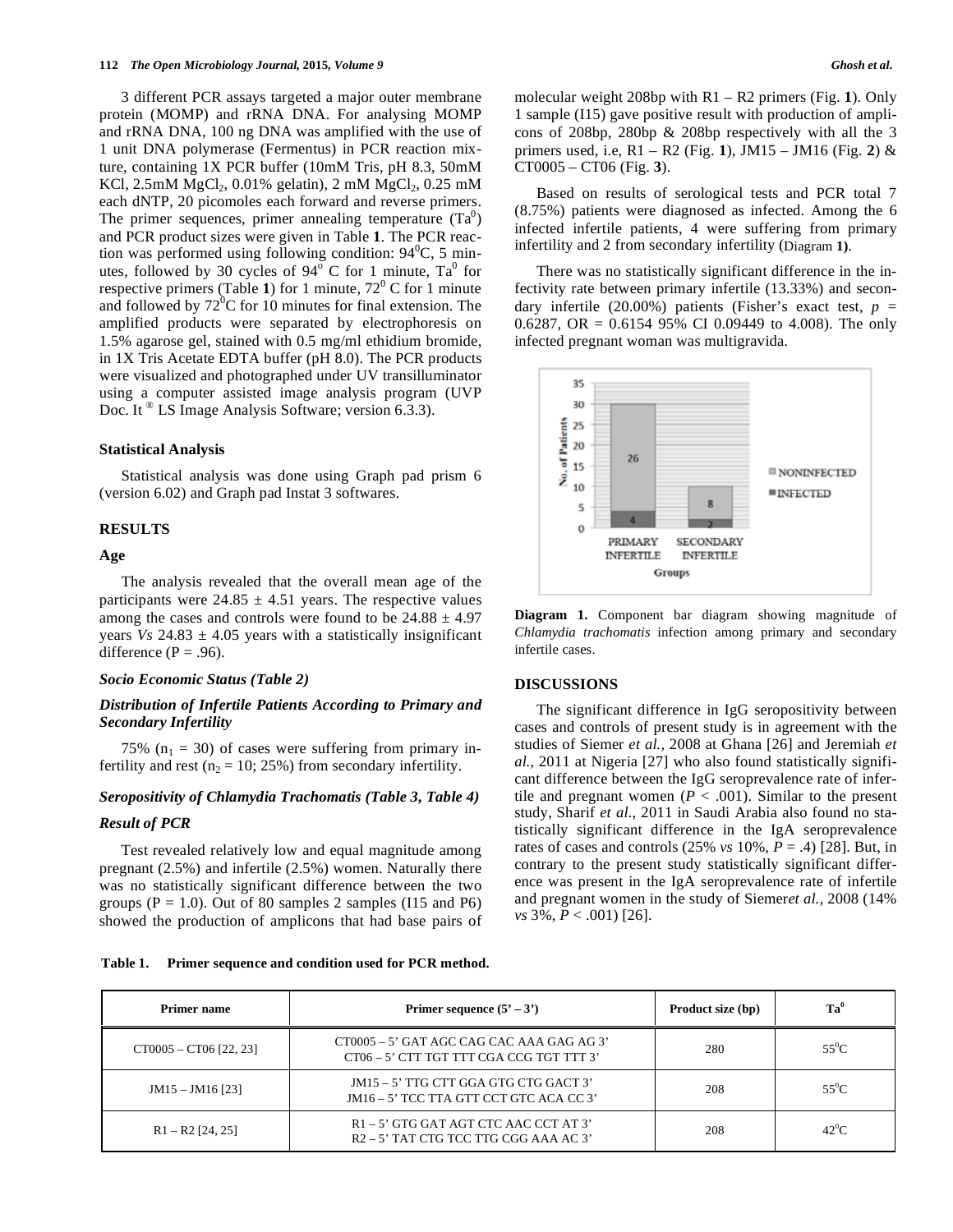3 different PCR assays targeted a major outer membrane protein (MOMP) and rRNA DNA. For analysing MOMP and rRNA DNA, 100 ng DNA was amplified with the use of 1 unit DNA polymerase (Fermentus) in PCR reaction mixture, containing 1X PCR buffer (10mM Tris, pH 8.3, 50mM KCl,  $2.5 \text{mM}$  MgCl<sub>2</sub>,  $0.01\%$  gelatin),  $2 \text{mM}$  MgCl<sub>2</sub>,  $0.25 \text{mM}$ each dNTP, 20 picomoles each forward and reverse primers. The primer sequences, primer annealing temperature  $(Ta^0)$ and PCR product sizes were given in Table **1**. The PCR reaction was performed using following condition:  $94^{\circ}$ C, 5 minutes, followed by 30 cycles of  $94^{\circ}$  C for 1 minute, Ta<sup>0</sup> for respective primers (Table 1) for 1 minute,  $72^{\circ}$  C for 1 minute and followed by  $72^{\circ}$ C for 10 minutes for final extension. The amplified products were separated by electrophoresis on 1.5% agarose gel, stained with 0.5 mg/ml ethidium bromide, in 1X Tris Acetate EDTA buffer (pH 8.0). The PCR products were visualized and photographed under UV transilluminator using a computer assisted image analysis program (UVP Doc. It ® LS Image Analysis Software; version 6.3.3).

### **Statistical Analysis**

Statistical analysis was done using Graph pad prism 6 (version 6.02) and Graph pad Instat 3 softwares.

## **RESULTS**

# **Age**

The analysis revealed that the overall mean age of the participants were  $24.85 \pm 4.51$  years. The respective values among the cases and controls were found to be  $24.88 \pm 4.97$ years  $V_s$  24.83  $\pm$  4.05 years with a statistically insignificant difference ( $P = .96$ ).

# *Socio Economic Status (Table 2)*

# *Distribution of Infertile Patients According to Primary and Secondary Infertility*

75% ( $n_1$  = 30) of cases were suffering from primary infertility and rest ( $n_2 = 10$ ; 25%) from secondary infertility.

# *Seropositivity of Chlamydia Trachomatis (Table 3, Table 4)*

# *Result of PCR*

Test revealed relatively low and equal magnitude among pregnant (2.5%) and infertile (2.5%) women. Naturally there was no statistically significant difference between the two groups ( $P = 1.0$ ). Out of 80 samples 2 samples ( $I15$  and  $P6$ ) showed the production of amplicons that had base pairs of

**Table 1. Primer sequence and condition used for PCR method.** 

molecular weight 208bp with R1 – R2 primers (Fig. **1**). Only 1 sample (I15) gave positive result with production of amplicons of 208bp, 280bp & 208bp respectively with all the 3 primers used, i.e, R1 – R2 (Fig. **1**), JM15 – JM16 (Fig. **2**) & CT0005 – CT06 (Fig. **3**).

Based on results of serological tests and PCR total 7 (8.75%) patients were diagnosed as infected. Among the 6 infected infertile patients, 4 were suffering from primary infertility and 2 from secondary infertility (Diagram **1)**.

There was no statistically significant difference in the infectivity rate between primary infertile (13.33%) and secondary infertile  $(20.00\%)$  patients (Fisher's exact test,  $p =$ 0.6287, OR =  $0.6154$  95% CI 0.09449 to 4.008). The only infected pregnant woman was multigravida.



**Diagram 1.** Component bar diagram showing magnitude of *Chlamydia trachomatis* infection among primary and secondary infertile cases.

# **DISCUSSIONS**

The significant difference in IgG seropositivity between cases and controls of present study is in agreement with the studies of Siemer *et al.,* 2008 at Ghana [26] and Jeremiah *et al.,* 2011 at Nigeria [27] who also found statistically significant difference between the IgG seroprevalence rate of infertile and pregnant women  $(P < .001)$ . Similar to the present study, Sharif *et al.,* 2011 in Saudi Arabia also found no statistically significant difference in the IgA seroprevalence rates of cases and controls (25% *vs* 10%, *P* = .4) [28]. But, in contrary to the present study statistically significant difference was present in the IgA seroprevalence rate of infertile and pregnant women in the study of Siemer*et al.,* 2008 (14% *vs* 3%, *P* < .001) [26].

|  | <b>STATES</b> |  |
|--|---------------|--|

| Primer name              | Primer sequence $(5' – 3')$                                                           | Product size (bp) | $Ta^0$  |
|--------------------------|---------------------------------------------------------------------------------------|-------------------|---------|
| $CT0005 - CT06$ [22, 23] | CT0005 – 5' GAT AGC CAG CAC AAA GAG AG 3'<br>CT06 - 5' CTT TGT TTT CGA CCG TGT TTT 3' | 280               | $55^0C$ |
| $JM15 - JM16$ [23]       | JM15 - 5' TTG CTT GGA GTG CTG GACT 3'<br>JM16 – 5' TCC TTA GTT CCT GTC ACA CC 3'      |                   | $55^0C$ |
| $R1 - R2$ [24, 25]       | $R1 - 5'$ GTG GAT AGT CTC AAC CCT AT 3'<br>$R2 - 5'$ TAT CTG TCC TTG CGG AAA AC 3'    | 208               | $42^0C$ |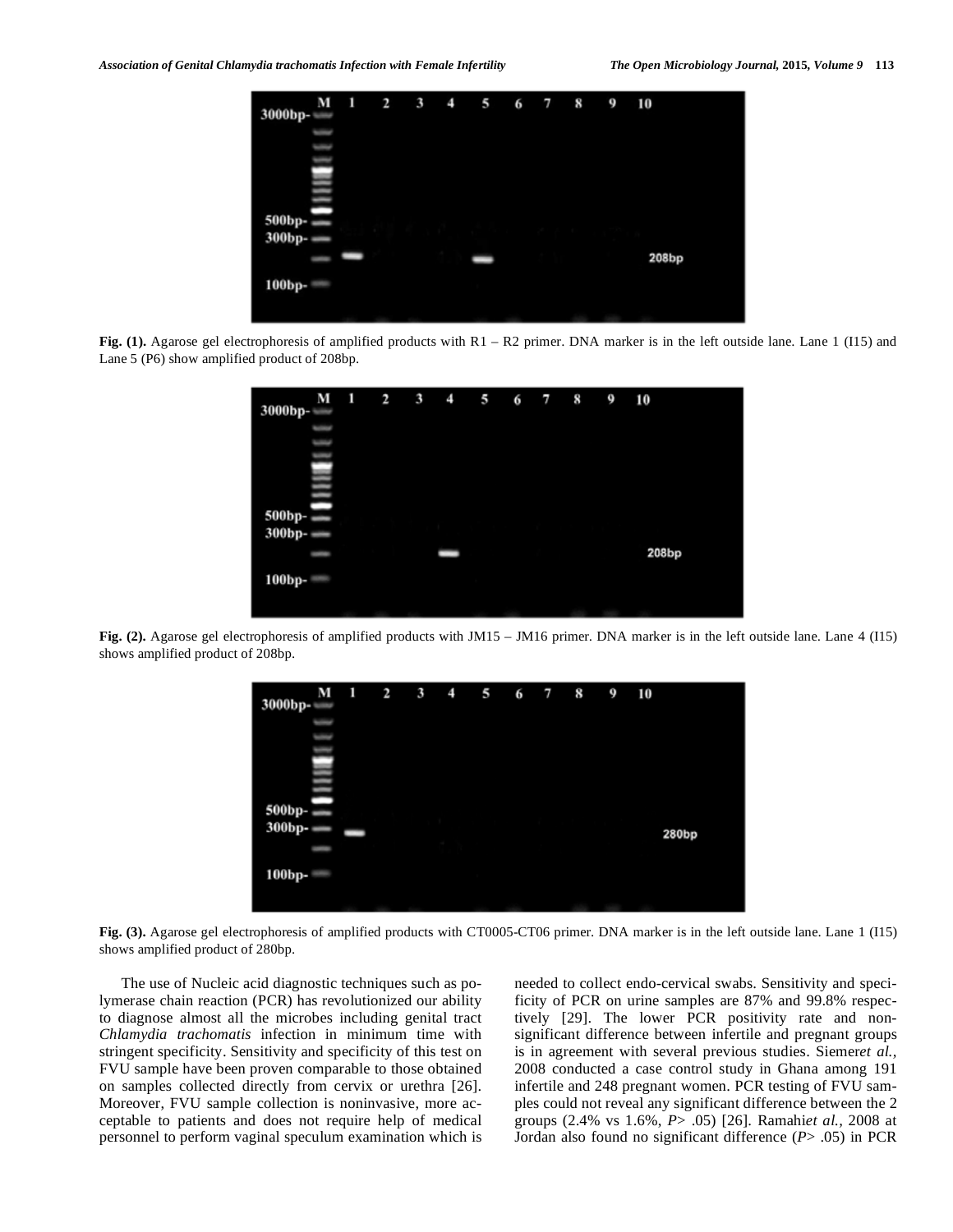| M<br>3000bp-     | 1 | $\frac{1}{2}$ | 3 | $\overline{\phantom{0}}$ | 5 | 6 | $\overline{7}$ | 8 | 9 | 10    |
|------------------|---|---------------|---|--------------------------|---|---|----------------|---|---|-------|
|                  |   |               |   |                          |   |   |                |   |   |       |
|                  |   |               |   |                          |   |   |                |   |   |       |
|                  |   |               |   |                          |   |   |                |   |   |       |
| 500bp-<br>300bp- |   |               |   |                          |   |   |                |   |   |       |
|                  |   |               |   |                          | - |   |                |   |   | 208bp |
| 100bp-           |   |               |   |                          |   |   |                |   |   |       |
|                  |   |               |   |                          |   |   |                |   |   |       |

**Fig. (1).** Agarose gel electrophoresis of amplified products with R1 – R2 primer. DNA marker is in the left outside lane. Lane 1 (I15) and Lane 5 (P6) show amplified product of 208bp.



**Fig. (2).** Agarose gel electrophoresis of amplified products with JM15 – JM16 primer. DNA marker is in the left outside lane. Lane 4 (I15) shows amplified product of 208bp.



**Fig. (3).** Agarose gel electrophoresis of amplified products with CT0005-CT06 primer. DNA marker is in the left outside lane. Lane 1 (I15) shows amplified product of 280bp.

The use of Nucleic acid diagnostic techniques such as polymerase chain reaction (PCR) has revolutionized our ability to diagnose almost all the microbes including genital tract *Chlamydia trachomatis* infection in minimum time with stringent specificity. Sensitivity and specificity of this test on FVU sample have been proven comparable to those obtained on samples collected directly from cervix or urethra [26]. Moreover, FVU sample collection is noninvasive, more acceptable to patients and does not require help of medical personnel to perform vaginal speculum examination which is needed to collect endo-cervical swabs. Sensitivity and specificity of PCR on urine samples are 87% and 99.8% respectively [29]. The lower PCR positivity rate and nonsignificant difference between infertile and pregnant groups is in agreement with several previous studies. Siemer*et al.,*  2008 conducted a case control study in Ghana among 191 infertile and 248 pregnant women. PCR testing of FVU samples could not reveal any significant difference between the 2 groups (2.4% vs 1.6%, *P*> .05) [26]. Ramahi*et al.,* 2008 at Jordan also found no significant difference (*P*> .05) in PCR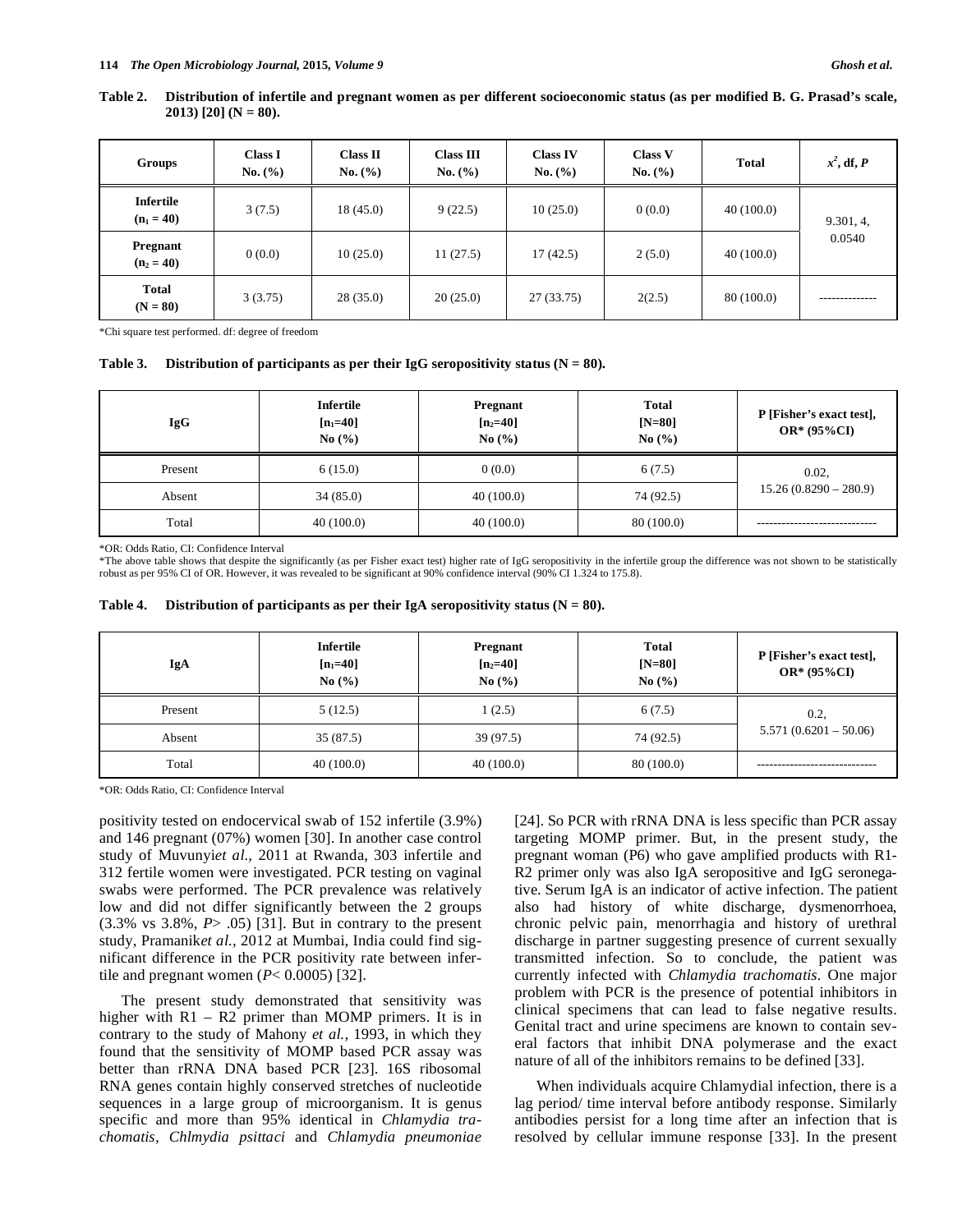| Table 2. Distribution of infertile and pregnant women as per different socioeconomic status (as per modified B. G. Prasad's scale, |  |
|------------------------------------------------------------------------------------------------------------------------------------|--|
| 2013) [20] (N = 80).                                                                                                               |  |

| Groups                           | <b>Class I</b><br>No. (%) | <b>Class II</b><br>No. (%) | <b>Class III</b><br>No. (%) | <b>Class IV</b><br>No. (%) | <b>Class V</b><br>No. (%) | <b>Total</b> | $x^2$ , df, P |
|----------------------------------|---------------------------|----------------------------|-----------------------------|----------------------------|---------------------------|--------------|---------------|
| <b>Infertile</b><br>$(n_1 = 40)$ | 3(7.5)                    | 18(45.0)                   | 9(22.5)                     | 10(25.0)                   | 0(0.0)                    | 40(100.0)    | 9.301, 4,     |
| <b>Pregnant</b><br>$(n_2 = 40)$  | 0(0.0)                    | 10(25.0)                   | 11(27.5)                    | 17(42.5)                   | 2(5.0)                    | 40(100.0)    | 0.0540        |
| <b>Total</b><br>$(N = 80)$       | 3(3.75)                   | 28(35.0)                   | 20(25.0)                    | 27 (33.75)                 | 2(2.5)                    | 80 (100.0)   |               |

\*Chi square test performed. df: degree of freedom

#### **Table 3. Distribution of participants as per their IgG seropositivity status (N = 80).**

| <b>IgG</b> | <b>Infertile</b><br>$[n_1=40]$<br>No $(\% )$ | Pregnant<br>$[n_2=40]$<br>No $(\% )$ | <b>Total</b><br>$[N=80]$<br>No $(\% )$ | P [Fisher's exact test],<br>$OR*(95\%CI)$ |
|------------|----------------------------------------------|--------------------------------------|----------------------------------------|-------------------------------------------|
| Present    | 6(15.0)                                      | 0(0.0)                               | 6(7.5)                                 | 0.02,                                     |
| Absent     | 34(85.0)                                     | 40(100.0)                            | 74 (92.5)                              | $15.26(0.8290 - 280.9)$                   |
| Total      | 40(100.0)                                    | 40(100.0)                            | 80 (100.0)                             |                                           |

\*OR: Odds Ratio, CI: Confidence Interval

\*The above table shows that despite the significantly (as per Fisher exact test) higher rate of IgG seropositivity in the infertile group the difference was not shown to be statistically robust as per 95% CI of OR. However, it was revealed to be significant at 90% confidence interval (90% CI 1.324 to 175.8).

| Table 4. |  | Distribution of participants as per their IgA seropositivity status $(N = 80)$ . |  |
|----------|--|----------------------------------------------------------------------------------|--|
|          |  |                                                                                  |  |

| IgA     | <b>Infertile</b><br>$[n_1=40]$<br>No $(\% )$ | Pregnant<br>$[n_2=40]$<br>No $(\% )$ | <b>Total</b><br>$[N=80]$<br>No $(\% )$ | P [Fisher's exact test],<br>$OR*(95\%CI)$ |
|---------|----------------------------------------------|--------------------------------------|----------------------------------------|-------------------------------------------|
| Present | 5(12.5)                                      | 1(2.5)                               | 6(7.5)                                 | 0.2,                                      |
| Absent  | 35 (87.5)                                    | 39(97.5)                             | 74 (92.5)                              | $5.571(0.6201 - 50.06)$                   |
| Total   | 40(100.0)                                    | 40(100.0)                            | 80 (100.0)                             |                                           |

\*OR: Odds Ratio, CI: Confidence Interval

positivity tested on endocervical swab of 152 infertile (3.9%) and 146 pregnant (07%) women [30]. In another case control study of Muvunyi*et al.,* 2011 at Rwanda, 303 infertile and 312 fertile women were investigated. PCR testing on vaginal swabs were performed. The PCR prevalence was relatively low and did not differ significantly between the 2 groups (3.3% vs 3.8%, *P*> .05) [31]. But in contrary to the present study, Pramanik*et al.,* 2012 at Mumbai, India could find significant difference in the PCR positivity rate between infertile and pregnant women  $(P< 0.0005)$  [32].

The present study demonstrated that sensitivity was higher with  $R1 - R2$  primer than MOMP primers. It is in contrary to the study of Mahony *et al.,* 1993, in which they found that the sensitivity of MOMP based PCR assay was better than rRNA DNA based PCR [23]. 16S ribosomal RNA genes contain highly conserved stretches of nucleotide sequences in a large group of microorganism. It is genus specific and more than 95% identical in *Chlamydia trachomatis, Chlmydia psittaci* and *Chlamydia pneumoniae*

[24]. So PCR with rRNA DNA is less specific than PCR assay targeting MOMP primer. But, in the present study, the pregnant woman (P6) who gave amplified products with R1- R2 primer only was also IgA seropositive and IgG seronegative. Serum IgA is an indicator of active infection. The patient also had history of white discharge, dysmenorrhoea, chronic pelvic pain, menorrhagia and history of urethral discharge in partner suggesting presence of current sexually transmitted infection. So to conclude, the patient was currently infected with *Chlamydia trachomatis.* One major problem with PCR is the presence of potential inhibitors in clinical specimens that can lead to false negative results. Genital tract and urine specimens are known to contain several factors that inhibit DNA polymerase and the exact nature of all of the inhibitors remains to be defined [33].

When individuals acquire Chlamydial infection, there is a lag period/ time interval before antibody response. Similarly antibodies persist for a long time after an infection that is resolved by cellular immune response [33]. In the present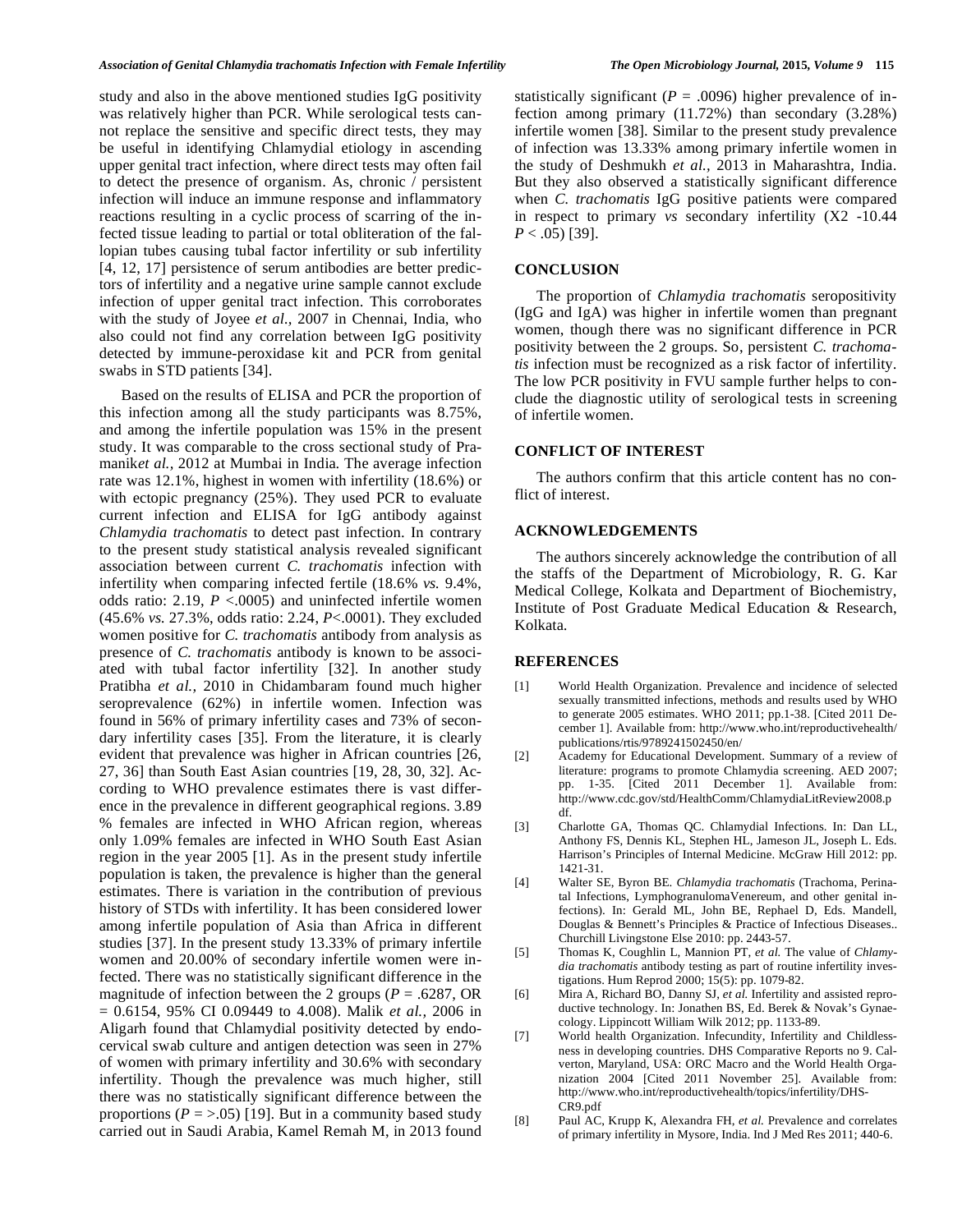study and also in the above mentioned studies IgG positivity was relatively higher than PCR. While serological tests cannot replace the sensitive and specific direct tests, they may be useful in identifying Chlamydial etiology in ascending upper genital tract infection, where direct tests may often fail to detect the presence of organism. As, chronic / persistent infection will induce an immune response and inflammatory reactions resulting in a cyclic process of scarring of the infected tissue leading to partial or total obliteration of the fallopian tubes causing tubal factor infertility or sub infertility [4, 12, 17] persistence of serum antibodies are better predictors of infertility and a negative urine sample cannot exclude infection of upper genital tract infection. This corroborates with the study of Joyee *et al.,* 2007 in Chennai, India, who also could not find any correlation between IgG positivity detected by immune-peroxidase kit and PCR from genital swabs in STD patients [34].

Based on the results of ELISA and PCR the proportion of this infection among all the study participants was 8.75%, and among the infertile population was 15% in the present study. It was comparable to the cross sectional study of Pramanik*et al.,* 2012 at Mumbai in India. The average infection rate was 12.1%, highest in women with infertility (18.6%) or with ectopic pregnancy (25%). They used PCR to evaluate current infection and ELISA for IgG antibody against *Chlamydia trachomatis* to detect past infection. In contrary to the present study statistical analysis revealed significant association between current *C. trachomatis* infection with infertility when comparing infected fertile (18.6% *vs.* 9.4%, odds ratio: 2.19, *P* <.0005) and uninfected infertile women (45.6% *vs.* 27.3%, odds ratio: 2.24, *P*<.0001). They excluded women positive for *C. trachomatis* antibody from analysis as presence of *C. trachomatis* antibody is known to be associated with tubal factor infertility [32]. In another study Pratibha *et al.,* 2010 in Chidambaram found much higher seroprevalence (62%) in infertile women. Infection was found in 56% of primary infertility cases and 73% of secondary infertility cases [35]. From the literature, it is clearly evident that prevalence was higher in African countries [26, 27, 36] than South East Asian countries [19, 28, 30, 32]. According to WHO prevalence estimates there is vast difference in the prevalence in different geographical regions. 3.89 % females are infected in WHO African region, whereas only 1.09% females are infected in WHO South East Asian region in the year 2005 [1]. As in the present study infertile population is taken, the prevalence is higher than the general estimates. There is variation in the contribution of previous history of STDs with infertility. It has been considered lower among infertile population of Asia than Africa in different studies [37]. In the present study 13.33% of primary infertile women and 20.00% of secondary infertile women were infected. There was no statistically significant difference in the magnitude of infection between the 2 groups ( $P = .6287$ , OR = 0.6154, 95% CI 0.09449 to 4.008). Malik *et al.,* 2006 in Aligarh found that Chlamydial positivity detected by endocervical swab culture and antigen detection was seen in 27% of women with primary infertility and 30.6% with secondary infertility. Though the prevalence was much higher, still there was no statistically significant difference between the proportions ( $P = >.05$ ) [19]. But in a community based study carried out in Saudi Arabia, Kamel Remah M, in 2013 found

statistically significant ( $P = .0096$ ) higher prevalence of infection among primary (11.72%) than secondary (3.28%) infertile women [38]. Similar to the present study prevalence of infection was 13.33% among primary infertile women in the study of Deshmukh *et al.,* 2013 in Maharashtra, India. But they also observed a statistically significant difference when *C. trachomatis* IgG positive patients were compared in respect to primary *vs* secondary infertility (X2 -10.44  $P < .05$ ) [39].

## **CONCLUSION**

The proportion of *Chlamydia trachomatis* seropositivity (IgG and IgA) was higher in infertile women than pregnant women, though there was no significant difference in PCR positivity between the 2 groups. So, persistent *C. trachomatis* infection must be recognized as a risk factor of infertility. The low PCR positivity in FVU sample further helps to conclude the diagnostic utility of serological tests in screening of infertile women.

# **CONFLICT OF INTEREST**

The authors confirm that this article content has no conflict of interest.

# **ACKNOWLEDGEMENTS**

The authors sincerely acknowledge the contribution of all the staffs of the Department of Microbiology, R. G. Kar Medical College, Kolkata and Department of Biochemistry, Institute of Post Graduate Medical Education & Research, Kolkata.

### **REFERENCES**

- [1] World Health Organization. Prevalence and incidence of selected sexually transmitted infections, methods and results used by WHO to generate 2005 estimates. WHO 2011; pp.1-38. [Cited 2011 December 1]. Available from: http://www.who.int/reproductivehealth/ publications/rtis/9789241502450/en/
- [2] Academy for Educational Development. Summary of a review of literature: programs to promote Chlamydia screening. AED 2007; pp. 1-35. [Cited 2011 December 1]. Available from: http://www.cdc.gov/std/HealthComm/ChlamydiaLitReview2008.p df.
- [3] Charlotte GA, Thomas QC. Chlamydial Infections. In: Dan LL, Anthony FS, Dennis KL, Stephen HL, Jameson JL, Joseph L. Eds. Harrison's Principles of Internal Medicine. McGraw Hill 2012: pp. 1421-31.
- [4] Walter SE, Byron BE. *Chlamydia trachomatis* (Trachoma, Perinatal Infections, LymphogranulomaVenereum, and other genital infections). In: Gerald ML, John BE, Rephael D, Eds. Mandell, Douglas & Bennett's Principles & Practice of Infectious Diseases.. Churchill Livingstone Else 2010: pp. 2443-57.
- [5] Thomas K, Coughlin L, Mannion PT, *et al.* The value of *Chlamydia trachomatis* antibody testing as part of routine infertility investigations. Hum Reprod 2000; 15(5): pp. 1079-82.
- [6] Mira A, Richard BO, Danny SJ, *et al.* Infertility and assisted reproductive technology. In: Jonathen BS, Ed. Berek & Novak's Gynaecology. Lippincott William Wilk 2012; pp. 1133-89.
- [7] World health Organization. Infecundity, Infertility and Childlessness in developing countries. DHS Comparative Reports no 9. Calverton, Maryland, USA: ORC Macro and the World Health Organization 2004 [Cited 2011 November 25]. Available from: http://www.who.int/reproductivehealth/topics/infertility/DHS-CR9.pdf
- [8] Paul AC, Krupp K, Alexandra FH, *et al.* Prevalence and correlates of primary infertility in Mysore, India. Ind J Med Res 2011; 440-6.